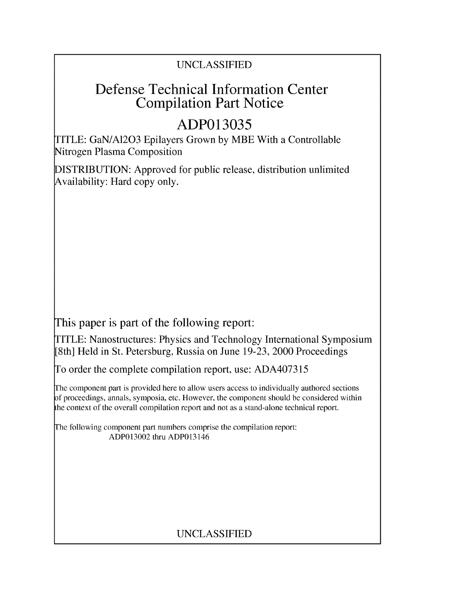### UNCLASSIFIED

## Defense Technical Information Center Compilation Part Notice

# **ADP013035**

TITLE: GaN/A1203 Epilayers Grown by MBE With a Controllable Nitrogen Plasma Composition

DISTRIBUTION: Approved for public release, distribution unlimited Availability: Hard copy only.

This paper is part of the following report:

TITLE: Nanostructures: Physics and Technology International Symposium [8th] Held in St. Petersburg, Russia on June 19-23, 2000 Proceedings

To order the complete compilation report, use: ADA407315

The component part is provided here to allow users access to individually authored sections f proceedings, annals, symposia, etc. However, the component should be considered within the context of the overall compilation report and not as a stand-alone technical report.

The following component part numbers comprise the compilation report: ADP013002 thru ADP013146

## UNCLASSIFIED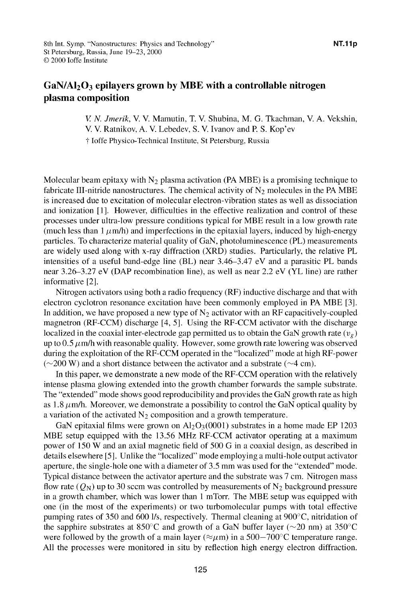### GaN/A120 3 epilayers grown **by** MBE with a controllable nitrogen plasma composition

*V N. Jmerik,* V. V. Mamutin, T. V. Shubina, M. **G.** Tkachman, V. A. Vekshin, V. V. Ratnikov, A. V. Lebedev, S. V. Ivanov and P. S. Kop'ev **T** Joffe Physico-Technical Institute, St Petersburg, Russia

Molecular beam epitaxy with  $N_2$  plasma activation (PA MBE) is a promising technique to fabricate III-nitride nanostructures. The chemical activity of  $N_2$  molecules in the PA MBE is increased due to excitation of molecular electron-vibration states as well as dissociation and ionization **[11.** However, difficulties in the effective realization and control of these processes under ultra-low pressure conditions typical for MBE result in a low growth rate (much less than  $1 \mu m/h$ ) and imperfections in the epitaxial layers, induced by high-energy particles. To characterize material quality of GaN, photoluminescence (PL) measurements are widely used along with x-ray diffraction (XRD) studies. Particularly, the relative PL intensities of a useful band-edge line (BL) near 3.46-3.47 eV and a parasitic PL bands near 3.26-3.27 eV (DAP recombination line), as well as near 2.2 eV (YL line) are rather informative [2].

Nitrogen activators using both a radio frequency (RF) inductive discharge and that with electron cyclotron resonance excitation have been commonly employed in PA MBE **[31.** In addition, we have proposed a new type of  $N_2$  activator with an RF capacitively-coupled magnetron (RF-CCM) discharge [4, 5]. Using the RF-CCM activator with the discharge localized in the coaxial inter-electrode gap permitted us to obtain the GaN growth rate ( $v_g$ ) up to 0.5  $\mu$ m/h with reasonable quality. However, some growth rate lowering was observed during the exploitation of the RF-CCM operated in the "localized" mode at high RF-power  $(\sim 200 \text{ W})$  and a short distance between the activator and a substrate ( $\sim$ 4 cm).

In this paper, we demonstrate a new mode of the RF-CCM operation with the relatively intense plasma glowing extended into the growth chamber forwards the sample substrate. The "extended" mode shows good reproducibility and provides the GaN growth rate as high as 1.8  $\mu$ m/h. Moreover, we demonstrate a possibility to control the GaN optical quality by a variation of the activated  $N_2$  composition and a growth temperature.

GaN epitaxial films were grown on  $Al_2O_3(0001)$  substrates in a home made EP 1203 MBE setup equipped with the 13.56 MHz RF-CCM activator operating at a maximum power of 150 W and an axial magnetic field of 500 **G** in a coaxial design, as described in details elsewhere [5 **1.** Unlike the "localized" mode employing a multi-hole output activator aperture, the single-hole one with a diameter of 3.5 mm was used for the "extended" mode. Typical distance between the activator aperture and the substrate was 7 cm. Nitrogen mass flow rate ( $Q_N$ ) up to 30 sccm was controlled by measurements of N<sub>2</sub> background pressure in a growth chamber, which was lower than **I** mTorr. The MBE setup was equipped with one (in the most of the experiments) or two turbomolecular pumps with total effective pumping rates of 350 and 600 I/s, respectively. Thermal cleaning at 900'C, nitridation of the sapphire substrates at 850°C and growth of a GaN buffer layer ( $\sim$ 20 nm) at 350°C were followed by the growth of a main layer ( $\approx \mu$ m) in a 500-700°C temperature range. All the processes were monitored in situ by reflection high energy electron diffraction.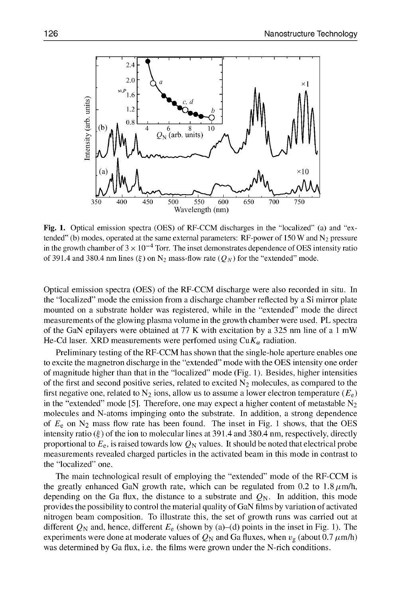

Fig. **1.** Optical emission spectra (OES) of RF-CCM discharges in the "localized" (a) and "extended" (b) modes, operated at the same external parameters: RF-power of 150 W and  $N_2$  pressure in the growth chamber of  $3 \times 10^{-4}$  Torr. The inset demonstrates dependence of OES intensity ratio of 391.4 and 380.4 nm lines  $(\xi)$  on N<sub>2</sub> mass-flow rate  $(Q_N)$  for the "extended" mode.

Optical emission spectra (OES) of the RF-CCM discharge were also recorded in situ. In the "localized" mode the emission from a discharge chamber reflected by a Si mirror plate mounted on a substrate holder was registered, while in the "extended" mode the direct measurements of the glowing plasma volume in the growth chamber were used. PL spectra of the GaN epilayers were obtained at 77 K with excitation by a 325 nm line of a **I** mW He-Cd laser. XRD measurements were perfomed using  $CuK_{\alpha}$  radiation.

Preliminary testing of the RF-CCM has shown that the single-hole aperture enables one to excite the magnetron discharge in the "extended" mode with the OES intensity one order of magnitude higher than that in the "localized" mode (Fig. 1). Besides, higher intensities of the first and second positive series, related to excited  $N_2$  molecules, as compared to the first negative one, related to  $N_2$  ions, allow us to assume a lower electron temperature  $(E_e)$ in the "extended" mode [5]. Therefore, one may expect a higher content of metastable  $N_2$ molecules and N-atoms impinging onto the substrate. In addition, a strong dependence of *Ee* on N2 mass flow rate has been found. The inset in Fig. **I** shows, that the OES intensity ratio  $(\xi)$  of the ion to molecular lines at 391.4 and 380.4 nm, respectively, directly proportional to  $E_e$ , is raised towards low  $Q_N$  values. It should be noted that electrical probe measurements revealed charged particles in the activated beam in this mode in contrast to the "localized" one.

The main technological result of employing the "extended" mode of the RF-CCM is the greatly enhanced GaN growth rate, which can be regulated from 0.2 to 1.8  $\mu$ m/h, depending on the Ga flux, the distance to a substrate and  $Q_N$ . In addition, this mode provides the possibility to control the material quality of GaN films by variation of activated nitrogen beam composition. To illustrate this, the set of growth runs was carried out at different  $Q_N$  and, hence, different  $E_e$  (shown by (a)–(d) points in the inset in Fig. 1). The experiments were done at moderate values of  $Q_N$  and Ga fluxes, when  $v_g$  (about 0.7  $\mu$ m/h) was determined by Ga flux, i.e. the films were grown under the N-rich conditions.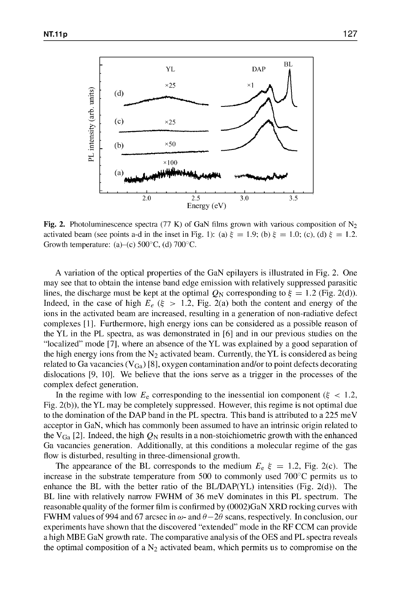

Fig. 2. Photoluminescence spectra (77 K) of GaN films grown with various composition of  $N_2$ activated beam (see points a-d in the inset in Fig. 1): (a)  $\xi = 1.9$ ; (b)  $\xi = 1.0$ ; (c), (d)  $\xi = 1.2$ . Growth temperature: (a)–(c)  $500^{\circ}$ C, (d)  $700^{\circ}$ C.

A variation of the optical properties of the GaN epilayers is illustrated in Fig. 2. One may see that to obtain the intense band edge emission with relatively suppressed parasitic lines, the discharge must be kept at the optimal  $Q_N$  corresponding to  $\xi = 1.2$  (Fig. 2(d)). Indeed, in the case of high  $E_e$  ( $\xi > 1.2$ , Fig. 2(a) both the content and energy of the ions in the activated beam are increased, resulting in a generation of non-radiative defect complexes **[11.** Furthermore, high energy ions can be considered as a possible reason of the YL in the PL spectra, as was demonstrated in **[61** and in our previous studies on the "localized" mode [7 **1,** where an absence of the YL was explained by a good separation of the high energy ions from the  $N_2$  activated beam. Currently, the YL is considered as being related to Ga vacancies ( $V_{Ga}$ ) [8], oxygen contamination and/or to point defects decorating dislocations  $[9, 10]$ . We believe that the ions serve as a trigger in the processes of the complex defect generation.

In the regime with low  $E_e$  corresponding to the inessential ion component ( $\xi$  < 1.2, Fig. 2(b)), the YL may be completely suppressed. However, this regime is not optimal due to the domination of the DAP band in the PL spectra. This band is attributed to a 225 meV acceptor in GaN, which has commonly been assumed to have an intrinsic origin related to the  $V_{Ga}$  [2]. Indeed, the high  $Q_N$  results in a non-stoichiometric growth with the enhanced Ga vacancies generation. Additionally, at this conditions a molecular regime of the gas flow is disturbed, resulting in three-dimensional growth.

The appearance of the BL corresponds to the medium  $E_e \xi = 1.2$ , Fig. 2(c). The increase in the substrate temperature from 500 to commonly used  $700^{\circ}$ C permits us to enhance the BL with the better ratio of the BL/DAP(YL) intensities (Fig. 2(d)). The BL line with relatively narrow FWHM of 36 meV dominates in this PL spectrum. The reasonable quality of the former film is confirmed by (0002)GaN XRD rocking curves with FWHM values of 994 and 67 arcsec in  $\omega$ - and  $\theta - 2\theta$  scans, respectively. In conclusion, our experiments have shown that the discovered "extended" mode in the RF CCM can provide a high MBE GaN growth rate. The comparative analysis of the OES and PL spectra reveals the optimal composition of a  $N_2$  activated beam, which permits us to compromise on the